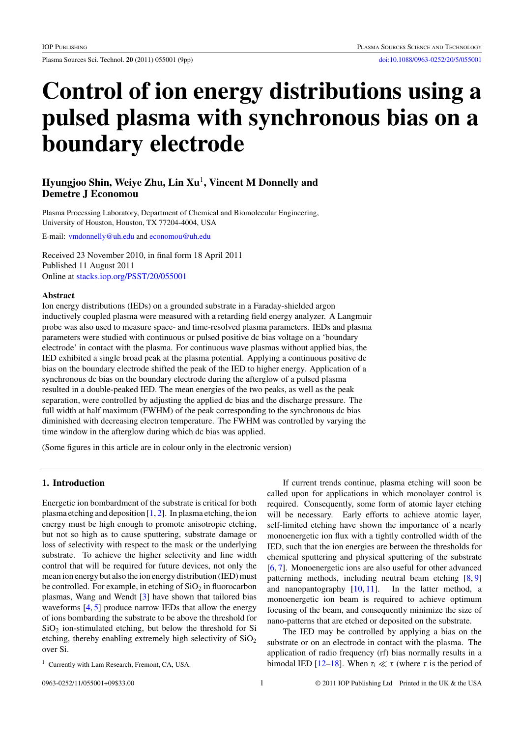# **Control of ion energy distributions using a pulsed plasma with synchronous bias on a boundary electrode**

## **Hyungjoo Shin, Weiye Zhu, Lin Xu**<sup>1</sup>**, Vincent M Donnelly and Demetre J Economou**

Plasma Processing Laboratory, Department of Chemical and Biomolecular Engineering, University of Houston, Houston, TX 77204-4004, USA

E-mail: [vmdonnelly@uh.edu](mailto: vmdonnelly@uh.edu) and [economou@uh.edu](mailto: economou@uh.edu)

Received 23 November 2010, in final form 18 April 2011 Published 11 August 2011 Online at [stacks.iop.org/PSST/20/055001](http://stacks.iop.org/PSST/20/055001)

#### **Abstract**

Ion energy distributions (IEDs) on a grounded substrate in a Faraday-shielded argon inductively coupled plasma were measured with a retarding field energy analyzer. A Langmuir probe was also used to measure space- and time-resolved plasma parameters. IEDs and plasma parameters were studied with continuous or pulsed positive dc bias voltage on a 'boundary electrode' in contact with the plasma. For continuous wave plasmas without applied bias, the IED exhibited a single broad peak at the plasma potential. Applying a continuous positive dc bias on the boundary electrode shifted the peak of the IED to higher energy. Application of a synchronous dc bias on the boundary electrode during the afterglow of a pulsed plasma resulted in a double-peaked IED. The mean energies of the two peaks, as well as the peak separation, were controlled by adjusting the applied dc bias and the discharge pressure. The full width at half maximum (FWHM) of the peak corresponding to the synchronous dc bias diminished with decreasing electron temperature. The FWHM was controlled by varying the time window in the afterglow during which dc bias was applied.

(Some figures in this article are in colour only in the electronic version)

## **1. Introduction**

Energetic ion bombardment of the substrate is critical for both plasma etching and deposition  $[1, 2]$  $[1, 2]$  $[1, 2]$ . In plasma etching, the ion energy must be high enough to promote anisotropic etching, but not so high as to cause sputtering, substrate damage or loss of selectivity with respect to the mask or the underlying substrate. To achieve the higher selectivity and line width control that will be required for future devices, not only the mean ion energy but also the ion energy distribution (IED) must be controlled. For example, in etching of  $SiO<sub>2</sub>$  in fluorocarbon plasmas, Wang and Wendt [\[3\]](#page-8-0) have shown that tailored bias waveforms [\[4,](#page-8-0) [5\]](#page-8-0) produce narrow IEDs that allow the energy of ions bombarding the substrate to be above the threshold for  $SiO<sub>2</sub>$  ion-stimulated etching, but below the threshold for Si etching, thereby enabling extremely high selectivity of  $SiO<sub>2</sub>$ over Si.

If current trends continue, plasma etching will soon be called upon for applications in which monolayer control is required. Consequently, some form of atomic layer etching will be necessary. Early efforts to achieve atomic layer, self-limited etching have shown the importance of a nearly monoenergetic ion flux with a tightly controlled width of the IED, such that the ion energies are between the thresholds for chemical sputtering and physical sputtering of the substrate [\[6,](#page-8-0) [7\]](#page-8-0). Monoenergetic ions are also useful for other advanced patterning methods, including neutral beam etching [\[8,](#page-8-0) [9\]](#page-8-0) and nanopantography [\[10,](#page-8-0) [11\]](#page-8-0). In the latter method, a monoenergetic ion beam is required to achieve optimum focusing of the beam, and consequently minimize the size of nano-patterns that are etched or deposited on the substrate.

The IED may be controlled by applying a bias on the substrate or on an electrode in contact with the plasma. The application of radio frequency (rf) bias normally results in a bimodal IED [\[12–18\]](#page-8-0). When  $τ_i \ll τ$  (where *τ* is the period of

<sup>&</sup>lt;sup>1</sup> Currently with Lam Research, Fremont, CA, USA.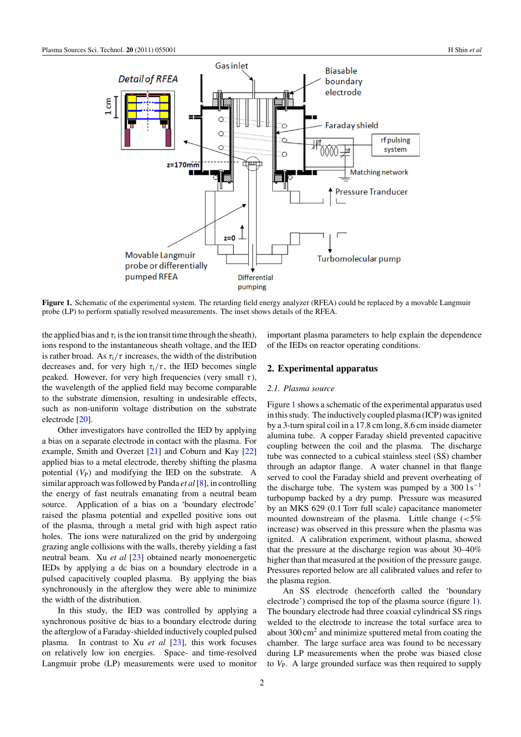<span id="page-1-0"></span>

**Figure 1.** Schematic of the experimental system. The retarding field energy analyzer (RFEA) could be replaced by a movable Langmuir probe (LP) to perform spatially resolved measurements. The inset shows details of the RFEA.

the applied bias and  $\tau_i$  is the ion transit time through the sheath), ions respond to the instantaneous sheath voltage, and the IED is rather broad. As  $\tau_i/\tau$  increases, the width of the distribution decreases and, for very high  $\tau_i/\tau$ , the IED becomes single peaked. However, for very high frequencies (very small *τ* ), the wavelength of the applied field may become comparable to the substrate dimension, resulting in undesirable effects, such as non-uniform voltage distribution on the substrate electrode [\[20\]](#page-8-0).

Other investigators have controlled the IED by applying a bias on a separate electrode in contact with the plasma. For example, Smith and Overzet [\[21\]](#page-8-0) and Coburn and Kay [\[22\]](#page-8-0) applied bias to a metal electrode, thereby shifting the plasma potential  $(V_P)$  and modifying the IED on the substrate. A similar approach was followed by Panda *et al*[\[8\]](#page-8-0), in controlling the energy of fast neutrals emanating from a neutral beam source. Application of a bias on a 'boundary electrode' raised the plasma potential and expelled positive ions out of the plasma, through a metal grid with high aspect ratio holes. The ions were naturalized on the grid by undergoing grazing angle collisions with the walls, thereby yielding a fast neutral beam. Xu *et al* [\[23\]](#page-8-0) obtained nearly monoenergetic IEDs by applying a dc bias on a boundary electrode in a pulsed capacitively coupled plasma. By applying the bias synchronously in the afterglow they were able to minimize the width of the distribution.

In this study, the IED was controlled by applying a synchronous positive dc bias to a boundary electrode during the afterglow of a Faraday-shielded inductively coupled pulsed plasma. In contrast to Xu *et al* [\[23\]](#page-8-0), this work focuses on relatively low ion energies. Space- and time-resolved Langmuir probe (LP) measurements were used to monitor

important plasma parameters to help explain the dependence of the IEDs on reactor operating conditions.

## **2. Experimental apparatus**

## *2.1. Plasma source*

Figure 1 shows a schematic of the experimental apparatus used in this study. The inductively coupled plasma (ICP) was ignited by a 3-turn spiral coil in a 17.8 cm long, 8.6 cm inside diameter alumina tube. A copper Faraday shield prevented capacitive coupling between the coil and the plasma. The discharge tube was connected to a cubical stainless steel (SS) chamber through an adaptor flange. A water channel in that flange served to cool the Faraday shield and prevent overheating of the discharge tube. The system was pumped by a 300  $1\,\mathrm{s}^{-1}$ turbopump backed by a dry pump. Pressure was measured by an MKS 629 (0.1 Torr full scale) capacitance manometer mounted downstream of the plasma. Little change (*<*5% increase) was observed in this pressure when the plasma was ignited. A calibration experiment, without plasma, showed that the pressure at the discharge region was about 30–40% higher than that measured at the position of the pressure gauge. Pressures reported below are all calibrated values and refer to the plasma region.

An SS electrode (henceforth called the 'boundary electrode') comprised the top of the plasma source (figure 1). The boundary electrode had three coaxial cylindrical SS rings welded to the electrode to increase the total surface area to about  $300 \text{ cm}^2$  and minimize sputtered metal from coating the chamber. The large surface area was found to be necessary during LP measurements when the probe was biased close to *V*<sub>P</sub>. A large grounded surface was then required to supply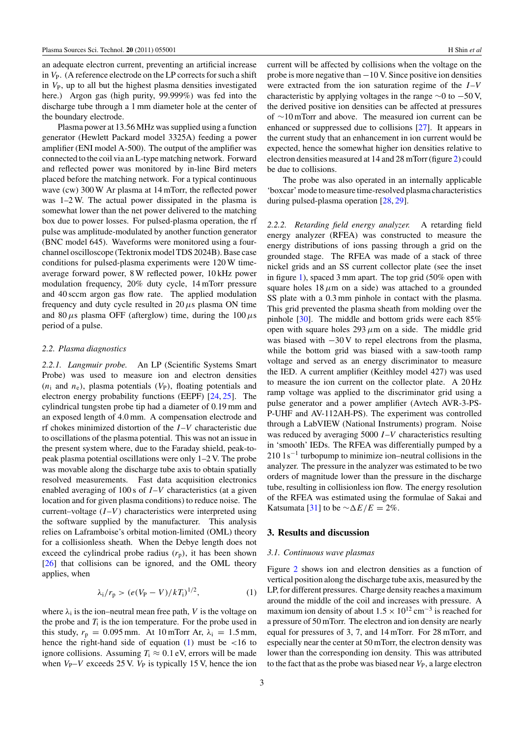an adequate electron current, preventing an artificial increase in *V*P. (A reference electrode on the LP corrects for such a shift in  $V_{\rm P}$ , up to all but the highest plasma densities investigated here.) Argon gas (high purity, 99.999%) was fed into the discharge tube through a 1 mm diameter hole at the center of the boundary electrode.

Plasma power at 13.56 MHz was supplied using a function generator (Hewlett Packard model 3325A) feeding a power amplifier (ENI model A-500). The output of the amplifier was connected to the coil via an L-type matching network. Forward and reflected power was monitored by in-line Bird meters placed before the matching network. For a typical continuous wave (cw) 300 W Ar plasma at 14 mTorr, the reflected power was 1–2 W. The actual power dissipated in the plasma is somewhat lower than the net power delivered to the matching box due to power losses. For pulsed-plasma operation, the rf pulse was amplitude-modulated by another function generator (BNC model 645). Waveforms were monitored using a fourchannel oscilloscope (Tektronix model TDS 2024B). Base case conditions for pulsed-plasma experiments were 120 W timeaverage forward power, 8 W reflected power, 10 kHz power modulation frequency, 20% duty cycle, 14 mTorr pressure and 40 sccm argon gas flow rate. The applied modulation frequency and duty cycle resulted in  $20 \mu s$  plasma ON time and 80  $\mu$ s plasma OFF (afterglow) time, during the 100  $\mu$ s period of a pulse.

#### *2.2. Plasma diagnostics*

*2.2.1. Langmuir probe.* An LP (Scientific Systems Smart Probe) was used to measure ion and electron densities  $(n<sub>i</sub>$  and  $n<sub>e</sub>)$ , plasma potentials  $(V<sub>P</sub>)$ , floating potentials and electron energy probability functions (EEPF) [\[24,](#page-8-0) [25\]](#page-8-0). The cylindrical tungsten probe tip had a diameter of 0.19 mm and an exposed length of 4.0 mm. A compensation electrode and rf chokes minimized distortion of the *I*–*V* characteristic due to oscillations of the plasma potential. This was not an issue in the present system where, due to the Faraday shield, peak-topeak plasma potential oscillations were only 1–2 V. The probe was movable along the discharge tube axis to obtain spatially resolved measurements. Fast data acquisition electronics enabled averaging of 100 s of *I*–*V* characteristics (at a given location and for given plasma conditions) to reduce noise. The current–voltage  $(I-V)$  characteristics were interpreted using the software supplied by the manufacturer. This analysis relies on Laframboise's orbital motion-limited (OML) theory for a collisionless sheath. When the Debye length does not exceed the cylindrical probe radius  $(r_p)$ , it has been shown [\[26\]](#page-8-0) that collisions can be ignored, and the OML theory applies, when

$$
\lambda_{i}/r_{p} > (e(V_{P} - V)/kT_{i})^{1/2},
$$
 (1)

where  $\lambda_i$  is the ion–neutral mean free path, *V* is the voltage on the probe and  $T_i$  is the ion temperature. For the probe used in this study,  $r_p = 0.095$  mm. At 10 mTorr Ar,  $\lambda_i = 1.5$  mm, hence the right-hand side of equation (1) must be *<*16 to ignore collisions. Assuming  $T_i \approx 0.1$  eV, errors will be made when  $V_P$ –*V* exceeds 25 V.  $V_P$  is typically 15 V, hence the ion

current will be affected by collisions when the voltage on the probe is more negative than  $-10$  V. Since positive ion densities were extracted from the ion saturation regime of the *I*–*V* characteristic by applying voltages in the range  $\sim$ 0 to −50 V, the derived positive ion densities can be affected at pressures of ∼10 mTorr and above. The measured ion current can be enhanced or suppressed due to collisions [\[27\]](#page-8-0). It appears in the current study that an enhancement in ion current would be expected, hence the somewhat higher ion densities relative to electron densities measured at 14 and 28 mTorr (figure [2\)](#page-3-0) could be due to collisions.

The probe was also operated in an internally applicable 'boxcar' mode to measure time-resolved plasma characteristics during pulsed-plasma operation [\[28,](#page-8-0) [29\]](#page-8-0).

*2.2.2. Retarding field energy analyzer.* A retarding field energy analyzer (RFEA) was constructed to measure the energy distributions of ions passing through a grid on the grounded stage. The RFEA was made of a stack of three nickel grids and an SS current collector plate (see the inset in figure [1\)](#page-1-0), spaced 3 mm apart. The top grid (50% open with square holes  $18 \mu m$  on a side) was attached to a grounded SS plate with a 0.3 mm pinhole in contact with the plasma. This grid prevented the plasma sheath from molding over the pinhole [\[30\]](#page-8-0). The middle and bottom grids were each 85% open with square holes  $293 \mu m$  on a side. The middle grid was biased with −30 V to repel electrons from the plasma, while the bottom grid was biased with a saw-tooth ramp voltage and served as an energy discriminator to measure the IED. A current amplifier (Keithley model 427) was used to measure the ion current on the collector plate. A 20 Hz ramp voltage was applied to the discriminator grid using a pulse generator and a power amplifier (Avtech AVR-3-PS-P-UHF and AV-112AH-PS). The experiment was controlled through a LabVIEW (National Instruments) program. Noise was reduced by averaging 5000 *I*–*V* characteristics resulting in 'smooth' IEDs. The RFEA was differentially pumped by a  $210 \text{ 1 s}^{-1}$  turbopump to minimize ion–neutral collisions in the analyzer. The pressure in the analyzer was estimated to be two orders of magnitude lower than the pressure in the discharge tube, resulting in collisionless ion flow. The energy resolution of the RFEA was estimated using the formulae of Sakai and Katsumata [\[31\]](#page-8-0) to be  $\sim \Delta E/E = 2\%$ .

## **3. Results and discussion**

#### *3.1. Continuous wave plasmas*

Figure [2](#page-3-0) shows ion and electron densities as a function of vertical position along the discharge tube axis, measured by the LP, for different pressures. Charge density reaches a maximum around the middle of the coil and increases with pressure. A maximum ion density of about  $1.5 \times 10^{12}$  cm<sup>-3</sup> is reached for a pressure of 50 mTorr. The electron and ion density are nearly equal for pressures of 3, 7, and 14 mTorr. For 28 mTorr, and especially near the center at 50 mTorr, the electron density was lower than the corresponding ion density. This was attributed to the fact that as the probe was biased near  $V_{\rm P}$ , a large electron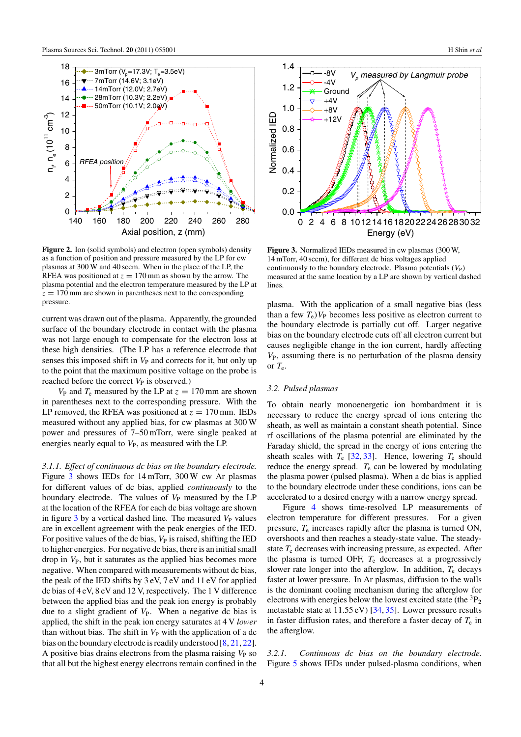<span id="page-3-0"></span>

**Figure 2.** Ion (solid symbols) and electron (open symbols) density as a function of position and pressure measured by the LP for cw plasmas at 300 W and 40 sccm. When in the place of the LP, the RFEA was positioned at  $z = 170$  mm as shown by the arrow. The plasma potential and the electron temperature measured by the LP at  $z = 170$  mm are shown in parentheses next to the corresponding pressure.

current was drawn out of the plasma. Apparently, the grounded surface of the boundary electrode in contact with the plasma was not large enough to compensate for the electron loss at these high densities. (The LP has a reference electrode that senses this imposed shift in  $V_P$  and corrects for it, but only up to the point that the maximum positive voltage on the probe is reached before the correct  $V_P$  is observed.)

 $V_P$  and  $T_e$  measured by the LP at  $z = 170$  mm are shown in parentheses next to the corresponding pressure. With the LP removed, the RFEA was positioned at  $z = 170$  mm. IEDs measured without any applied bias, for cw plasmas at 300 W power and pressures of 7–50 mTorr, were single peaked at energies nearly equal to  $V_P$ , as measured with the LP.

*3.1.1. Effect of continuous dc bias on the boundary electrode.* Figure 3 shows IEDs for 14 mTorr, 300 W cw Ar plasmas for different values of dc bias, applied *continuously* to the boundary electrode. The values of  $V_P$  measured by the LP at the location of the RFEA for each dc bias voltage are shown in figure  $3$  by a vertical dashed line. The measured  $V_P$  values are in excellent agreement with the peak energies of the IED. For positive values of the dc bias,  $V_P$  is raised, shifting the IED to higher energies. For negative dc bias, there is an initial small drop in  $V_P$ , but it saturates as the applied bias becomes more negative. When compared with measurements without dc bias, the peak of the IED shifts by 3 eV, 7 eV and 11 eV for applied dc bias of 4 eV, 8 eV and 12 V, respectively. The 1 V difference between the applied bias and the peak ion energy is probably due to a slight gradient of  $V_P$ . When a negative dc bias is applied, the shift in the peak ion energy saturates at 4 V *lower* than without bias. The shift in  $V_P$  with the application of a dc bias on the boundary electrode is readily understood [\[8,](#page-8-0) [21,](#page-8-0) [22\]](#page-8-0). A positive bias drains electrons from the plasma raising  $V_P$  so that all but the highest energy electrons remain confined in the



**Figure 3.** Normalized IEDs measured in cw plasmas (300 W, 14 mTorr, 40 sccm), for different dc bias voltages applied continuously to the boundary electrode. Plasma potentials  $(V_P)$ measured at the same location by a LP are shown by vertical dashed lines.

plasma. With the application of a small negative bias (less than a few  $T_e$ ) $V_P$  becomes less positive as electron current to the boundary electrode is partially cut off. Larger negative bias on the boundary electrode cuts off all electron current but causes negligible change in the ion current, hardly affecting *V*P, assuming there is no perturbation of the plasma density or  $T_e$ .

## *3.2. Pulsed plasmas*

To obtain nearly monoenergetic ion bombardment it is necessary to reduce the energy spread of ions entering the sheath, as well as maintain a constant sheath potential. Since rf oscillations of the plasma potential are eliminated by the Faraday shield, the spread in the energy of ions entering the sheath scales with  $T_e$  [\[32,](#page-8-0) [33\]](#page-8-0). Hence, lowering  $T_e$  should reduce the energy spread. *T*<sup>e</sup> can be lowered by modulating the plasma power (pulsed plasma). When a dc bias is applied to the boundary electrode under these conditions, ions can be accelerated to a desired energy with a narrow energy spread.

Figure [4](#page-4-0) shows time-resolved LP measurements of electron temperature for different pressures. For a given pressure, *T*<sup>e</sup> increases rapidly after the plasma is turned ON, overshoots and then reaches a steady-state value. The steadystate *T*<sup>e</sup> decreases with increasing pressure, as expected. After the plasma is turned OFF, *T*<sup>e</sup> decreases at a progressively slower rate longer into the afterglow. In addition, *T*<sup>e</sup> decays faster at lower pressure. In Ar plasmas, diffusion to the walls is the dominant cooling mechanism during the afterglow for electrons with energies below the lowest excited state (the  ${}^{3}P_{2}$ ) metastable state at 11.55 eV) [\[34,](#page-8-0) [35\]](#page-8-0). Lower pressure results in faster diffusion rates, and therefore a faster decay of  $T<sub>e</sub>$  in the afterglow.

*3.2.1. Continuous dc bias on the boundary electrode.* Figure [5](#page-4-0) shows IEDs under pulsed-plasma conditions, when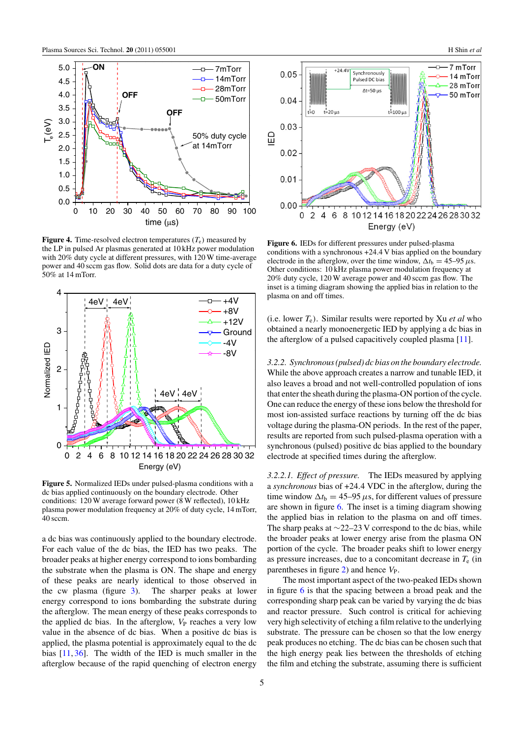<span id="page-4-0"></span>

**Figure 4.** Time-resolved electron temperatures  $(T_e)$  measured by the LP in pulsed Ar plasmas generated at 10 kHz power modulation with 20% duty cycle at different pressures, with 120 W time-average power and 40 sccm gas flow. Solid dots are data for a duty cycle of 50% at 14 mTorr.



**Figure 5.** Normalized IEDs under pulsed-plasma conditions with a dc bias applied continuously on the boundary electrode. Other conditions: 120 W average forward power (8 W reflected), 10 kHz plasma power modulation frequency at 20% of duty cycle, 14 mTorr, 40 sccm.

a dc bias was continuously applied to the boundary electrode. For each value of the dc bias, the IED has two peaks. The broader peaks at higher energy correspond to ions bombarding the substrate when the plasma is ON. The shape and energy of these peaks are nearly identical to those observed in the cw plasma (figure [3\)](#page-3-0). The sharper peaks at lower energy correspond to ions bombarding the substrate during the afterglow. The mean energy of these peaks corresponds to the applied dc bias. In the afterglow,  $V_P$  reaches a very low value in the absence of dc bias. When a positive dc bias is applied, the plasma potential is approximately equal to the dc bias [\[11,](#page-8-0) [36\]](#page-8-0). The width of the IED is much smaller in the afterglow because of the rapid quenching of electron energy



**Figure 6.** IEDs for different pressures under pulsed-plasma conditions with a synchronous +24*.*4 V bias applied on the boundary electrode in the afterglow, over the time window,  $\Delta t_{\rm b} = 45{\text -}95 \,\mu s$ . Other conditions: 10 kHz plasma power modulation frequency at 20% duty cycle, 120 W average power and 40 sccm gas flow. The inset is a timing diagram showing the applied bias in relation to the plasma on and off times.

(i.e. lower  $T_e$ ). Similar results were reported by Xu *et al* who obtained a nearly monoenergetic IED by applying a dc bias in the afterglow of a pulsed capacitively coupled plasma [\[11\]](#page-8-0).

*3.2.2. Synchronous (pulsed) dc bias on the boundary electrode.* While the above approach creates a narrow and tunable IED, it also leaves a broad and not well-controlled population of ions that enter the sheath during the plasma-ON portion of the cycle. One can reduce the energy of these ions below the threshold for most ion-assisted surface reactions by turning off the dc bias voltage during the plasma-ON periods. In the rest of the paper, results are reported from such pulsed-plasma operation with a synchronous (pulsed) positive dc bias applied to the boundary electrode at specified times during the afterglow.

*3.2.2.1. Effect of pressure.* The IEDs measured by applying a *synchronous* bias of +24*.*4 VDC in the afterglow, during the time window  $\Delta t_b = 45{\text -}95 \,\mu s$ , for different values of pressure are shown in figure 6. The inset is a timing diagram showing the applied bias in relation to the plasma on and off times. The sharp peaks at  $\sim$ 22–23 V correspond to the dc bias, while the broader peaks at lower energy arise from the plasma ON portion of the cycle. The broader peaks shift to lower energy as pressure increases, due to a concomitant decrease in  $T<sub>e</sub>$  (in parentheses in figure  $2$ ) and hence  $V_{\rm P}$ .

The most important aspect of the two-peaked IEDs shown in figure 6 is that the spacing between a broad peak and the corresponding sharp peak can be varied by varying the dc bias and reactor pressure. Such control is critical for achieving very high selectivity of etching a film relative to the underlying substrate. The pressure can be chosen so that the low energy peak produces no etching. The dc bias can be chosen such that the high energy peak lies between the thresholds of etching the film and etching the substrate, assuming there is sufficient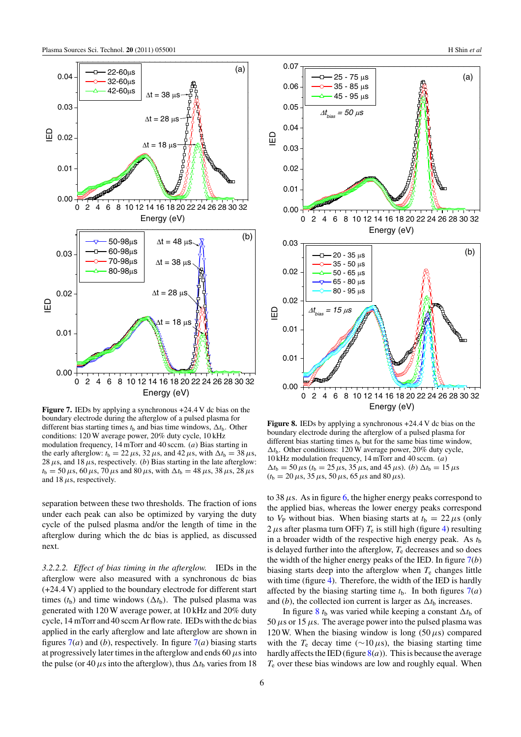<span id="page-5-0"></span>

**Figure 7.** IEDs by applying a synchronous +24*.*4 V dc bias on the boundary electrode during the afterglow of a pulsed plasma for different bias starting times  $t<sub>b</sub>$  and bias time windows,  $\Delta t<sub>b</sub>$ . Other conditions: 120 W average power, 20% duty cycle, 10 kHz modulation frequency, 14 mTorr and 40 sccm. (*a*) Bias starting in the early afterglow:  $t_b = 22 \mu s$ ,  $32 \mu s$ , and  $42 \mu s$ , with  $\Delta t_b = 38 \mu s$ , 28  $\mu$ s, and 18  $\mu$ s, respectively. (*b*) Bias starting in the late afterglow:  $t_b = 50 \,\mu s$ , 60  $\mu s$ , 70  $\mu s$  and 80  $\mu s$ , with  $\Delta t_b = 48 \,\mu s$ , 38  $\mu s$ , 28  $\mu s$ and 18*µ*s, respectively.

separation between these two thresholds. The fraction of ions under each peak can also be optimized by varying the duty cycle of the pulsed plasma and/or the length of time in the afterglow during which the dc bias is applied, as discussed next.

*3.2.2.2. Effect of bias timing in the afterglow.* IEDs in the afterglow were also measured with a synchronous dc bias (+24*.*4 V) applied to the boundary electrode for different start times ( $t_b$ ) and time windows ( $\Delta t_b$ ). The pulsed plasma was generated with 120 W average power, at 10 kHz and 20% duty cycle, 14 mTorr and 40 sccm Ar flow rate. IEDs with the dc bias applied in the early afterglow and late afterglow are shown in figures  $7(a)$  and (*b*), respectively. In figure  $7(a)$  biasing starts at progressively later times in the afterglow and ends 60*µ*s into the pulse (or 40  $\mu$ s into the afterglow), thus  $\Delta t_b$  varies from 18



**Figure 8.** IEDs by applying a synchronous +24*.*4 V dc bias on the boundary electrode during the afterglow of a pulsed plasma for different bias starting times  $t<sub>b</sub>$  but for the same bias time window,  $\Delta t_{\rm b}$ . Other conditions: 120 W average power, 20% duty cycle, 10 kHz modulation frequency, 14 mTorr and 40 sccm. (*a*)  $\Delta t_b = 50 \,\mu s$  ( $t_b = 25 \,\mu s$ , 35  $\mu s$ , and 45  $\mu s$ ). (*b*)  $\Delta t_b = 15 \,\mu s$  $(t_b = 20 \,\mu s, 35 \,\mu s, 50 \,\mu s, 65 \,\mu s$  and 80  $\mu s$ ).

to 38  $\mu$ s. As in figure [6,](#page-4-0) the higher energy peaks correspond to the applied bias, whereas the lower energy peaks correspond to  $V_P$  without bias. When biasing starts at  $t_b = 22 \mu s$  (only 2  $\mu$ s after plasma turn OFF)  $T_e$  is still high (figure [4\)](#page-4-0) resulting in a broader width of the respective high energy peak. As  $t<sub>b</sub>$ is delayed further into the afterglow, *T*<sup>e</sup> decreases and so does the width of the higher energy peaks of the IED. In figure 7(*b*) biasing starts deep into the afterglow when  $T<sub>e</sub>$  changes little with time (figure [4\)](#page-4-0). Therefore, the width of the IED is hardly affected by the biasing starting time  $t<sub>b</sub>$ . In both figures  $7(a)$ and (*b*), the collected ion current is larger as  $\Delta t_b$  increases.

In figure 8  $t<sub>b</sub>$  was varied while keeping a constant  $\Delta t<sub>b</sub>$  of 50  $\mu$ s or 15  $\mu$ s. The average power into the pulsed plasma was 120 W. When the biasing window is long  $(50 \,\mu s)$  compared with the  $T_e$  decay time ( $\sim$ 10 $\mu$ s), the biasing starting time hardly affects the IED (figure  $8(a)$ ). This is because the average *T*<sup>e</sup> over these bias windows are low and roughly equal. When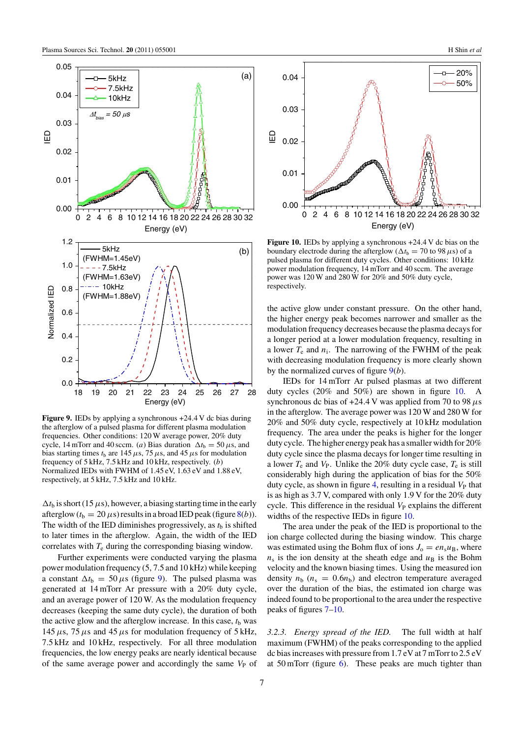

**Figure 9.** IEDs by applying a synchronous +24*.*4 V dc bias during the afterglow of a pulsed plasma for different plasma modulation frequencies. Other conditions: 120 W average power, 20% duty cycle, 14 mTorr and 40 sccm. (*a*) Bias duration  $\Delta t_b = 50 \,\mu s$ , and bias starting times  $t<sub>b</sub>$  are 145  $\mu$ s, 75  $\mu$ s, and 45  $\mu$ s for modulation frequency of 5 kHz, 7.5 kHz and 10 kHz, respectively. (*b*) Normalized IEDs with FWHM of 1.45 eV, 1.63 eV and 1.88 eV, respectively, at 5 kHz, 7.5 kHz and 10 kHz.

 $\Delta t_b$  is short (15  $\mu$ s), however, a biasing starting time in the early afterglow  $(t_b = 20 \,\mu s)$  results in a broad IED peak (figure [8\(](#page-5-0)*b*)). The width of the IED diminishes progressively, as  $t<sub>b</sub>$  is shifted to later times in the afterglow. Again, the width of the IED correlates with *T*<sup>e</sup> during the corresponding biasing window.

Further experiments were conducted varying the plasma power modulation frequency (5, 7.5 and 10 kHz) while keeping a constant  $\Delta t_b = 50 \,\mu s$  (figure 9). The pulsed plasma was generated at 14 mTorr Ar pressure with a 20% duty cycle, and an average power of 120 W. As the modulation frequency decreases (keeping the same duty cycle), the duration of both the active glow and the afterglow increase. In this case,  $t<sub>b</sub>$  was 145 $\mu$ s, 75 $\mu$ s and 45 $\mu$ s for modulation frequency of 5 kHz, 7.5 kHz and 10 kHz, respectively. For all three modulation frequencies, the low energy peaks are nearly identical because of the same average power and accordingly the same  $V_P$  of



**Figure 10.** IEDs by applying a synchronous +24*.*4 V dc bias on the boundary electrode during the afterglow ( $\Delta t_b = 70$  to 98  $\mu$ s) of a pulsed plasma for different duty cycles. Other conditions: 10 kHz power modulation frequency, 14 mTorr and 40 sccm. The average power was 120 W and 280 W for 20% and 50% duty cycle, respectively.

the active glow under constant pressure. On the other hand, the higher energy peak becomes narrower and smaller as the modulation frequency decreases because the plasma decays for a longer period at a lower modulation frequency, resulting in a lower  $T_e$  and  $n_i$ . The narrowing of the FWHM of the peak with decreasing modulation frequency is more clearly shown by the normalized curves of figure 9(*b*).

IEDs for 14 mTorr Ar pulsed plasmas at two different duty cycles (20% and 50%) are shown in figure 10. A synchronous dc bias of  $+24.4$  V was applied from 70 to 98  $\mu$ s in the afterglow. The average power was 120 W and 280 W for 20% and 50% duty cycle, respectively at 10 kHz modulation frequency. The area under the peaks is higher for the longer duty cycle. The higher energy peak has a smaller width for 20% duty cycle since the plasma decays for longer time resulting in a lower  $T_e$  and  $V_p$ . Unlike the 20% duty cycle case,  $T_e$  is still considerably high during the application of bias for the 50% duty cycle, as shown in figure [4,](#page-4-0) resulting in a residual  $V_P$  that is as high as 3.7 V, compared with only 1.9 V for the 20% duty cycle. This difference in the residual  $V_P$  explains the different widths of the respective IEDs in figure 10.

The area under the peak of the IED is proportional to the ion charge collected during the biasing window. This charge was estimated using the Bohm flux of ions  $J_0 = en_s u_B$ , where  $n<sub>s</sub>$  is the ion density at the sheath edge and  $u<sub>B</sub>$  is the Bohm velocity and the known biasing times. Using the measured ion density  $n_b$  ( $n_s = 0.6n_b$ ) and electron temperature averaged over the duration of the bias, the estimated ion charge was indeed found to be proportional to the area under the respective peaks of figures [7–](#page-5-0)10.

*3.2.3. Energy spread of the IED.* The full width at half maximum (FWHM) of the peaks corresponding to the applied dc bias increases with pressure from 1.7 eV at 7 mTorr to 2.5 eV at  $50 \text{ mTorr}$  (figure [6\)](#page-4-0). These peaks are much tighter than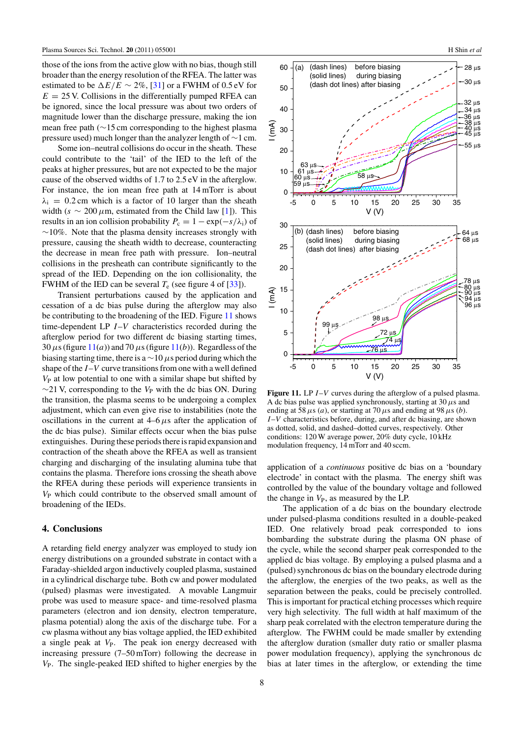those of the ions from the active glow with no bias, though still broader than the energy resolution of the RFEA. The latter was estimated to be  $\Delta E/E \sim 2\%$ , [\[31\]](#page-8-0) or a FWHM of 0.5 eV for  $E = 25$  V. Collisions in the differentially pumped RFEA can be ignored, since the local pressure was about two orders of magnitude lower than the discharge pressure, making the ion mean free path (∼15 cm corresponding to the highest plasma pressure used) much longer than the analyzer length of ∼1 cm.

Some ion–neutral collisions do occur in the sheath. These could contribute to the 'tail' of the IED to the left of the peaks at higher pressures, but are not expected to be the major cause of the observed widths of 1.7 to 2.5 eV in the afterglow. For instance, the ion mean free path at 14 mTorr is about  $\lambda_i$  = 0.2 cm which is a factor of 10 larger than the sheath width ( $s \sim 200 \,\mu$ m, estimated from the Child law [\[1\]](#page-8-0)). This results in an ion collision probability  $P_c = 1 - \exp(-\frac{s}{\lambda_i})$  of ∼10%. Note that the plasma density increases strongly with pressure, causing the sheath width to decrease, counteracting the decrease in mean free path with pressure. Ion–neutral collisions in the presheath can contribute significantly to the spread of the IED. Depending on the ion collisionality, the FWHM of the IED can be several  $T_e$  (see figure 4 of [\[33\]](#page-8-0)).

Transient perturbations caused by the application and cessation of a dc bias pulse during the afterglow may also be contributing to the broadening of the IED. Figure 11 shows time-dependent LP *I*–*V* characteristics recorded during the afterglow period for two different dc biasing starting times, 30  $\mu$ s (figure 11(*a*)) and 70  $\mu$ s (figure 11(*b*)). Regardless of the biasing starting time, there is a ∼10 *µ*s period during which the shape of the *I*–*V* curve transitions from one with a well defined  $V_P$  at low potential to one with a similar shape but shifted by ∼21 V, corresponding to the *V*<sub>P</sub> with the dc bias ON. During the transition, the plasma seems to be undergoing a complex adjustment, which can even give rise to instabilities (note the oscillations in the current at  $4-6 \mu s$  after the application of the dc bias pulse). Similar effects occur when the bias pulse extinguishes. During these periods there is rapid expansion and contraction of the sheath above the RFEA as well as transient charging and discharging of the insulating alumina tube that contains the plasma. Therefore ions crossing the sheath above the RFEA during these periods will experience transients in *V*<sup>P</sup> which could contribute to the observed small amount of broadening of the IEDs.

## **4. Conclusions**

A retarding field energy analyzer was employed to study ion energy distributions on a grounded substrate in contact with a Faraday-shielded argon inductively coupled plasma, sustained in a cylindrical discharge tube. Both cw and power modulated (pulsed) plasmas were investigated. A movable Langmuir probe was used to measure space- and time-resolved plasma parameters (electron and ion density, electron temperature, plasma potential) along the axis of the discharge tube. For a cw plasma without any bias voltage applied, the IED exhibited a single peak at  $V_P$ . The peak ion energy decreased with increasing pressure (7–50 mTorr) following the decrease in *V*P. The single-peaked IED shifted to higher energies by the



**Figure 11.** LP *I*–*V* curves during the afterglow of a pulsed plasma. A dc bias pulse was applied synchronously, starting at 30*µ*s and ending at  $\overline{58 \mu s}$  (*a*), or starting at 70  $\mu s$  and ending at 98  $\mu s$  (*b*). *I*–*V* characteristics before, during, and after dc biasing, are shown as dotted, solid, and dashed–dotted curves, respectively. Other conditions: 120 W average power, 20% duty cycle, 10 kHz modulation frequency, 14 mTorr and 40 sccm.

application of a *continuous* positive dc bias on a 'boundary electrode' in contact with the plasma. The energy shift was controlled by the value of the boundary voltage and followed the change in  $V_P$ , as measured by the LP.

The application of a dc bias on the boundary electrode under pulsed-plasma conditions resulted in a double-peaked IED. One relatively broad peak corresponded to ions bombarding the substrate during the plasma ON phase of the cycle, while the second sharper peak corresponded to the applied dc bias voltage. By employing a pulsed plasma and a (pulsed) synchronous dc bias on the boundary electrode during the afterglow, the energies of the two peaks, as well as the separation between the peaks, could be precisely controlled. This is important for practical etching processes which require very high selectivity. The full width at half maximum of the sharp peak correlated with the electron temperature during the afterglow. The FWHM could be made smaller by extending the afterglow duration (smaller duty ratio or smaller plasma power modulation frequency), applying the synchronous dc bias at later times in the afterglow, or extending the time